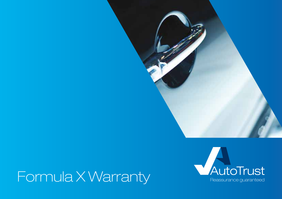

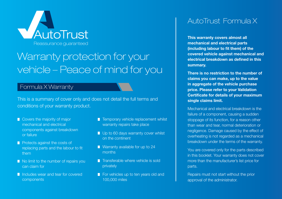

## Warranty protection for your vehicle – Peace of mind for you

#### Formula X Warranty

This is a summary of cover only and does not detail the full terms and conditions of your warranty product.

- Covers the majority of major mechanical and electrical components against breakdown or failure
- **Protects against the costs of** replacing parts and the labour to fit them
- No limit to the number of repairs you can claim for
- Includes wear and tear for covered components
- **T** Temporary vehicle replacement whilst warranty repairs take place
- Up to 60 days warranty cover whilst on the continent
- **Narranty available for up to 24** months
- $\blacksquare$  Transferable where vehicle is sold privately
- For vehicles up to ten years old and 100,000 miles

## AutoTrust Formula X

**This warranty covers almost all mechanical and electrical parts (including labour to fit them) of the covered vehicle against mechanical and electrical breakdown as defined in this summary.**

**There is no restriction to the number of claims you can make, up to the value in aggregate of the vehicle purchase price. Please refer to your Validation Certificate for details of your maximum single claims limit.**

Mechanical and electrical breakdown is the failure of a component, causing a sudden stoppage of its function, for a reason other than wear and tear, normal deterioration or negligence. Damage caused by the effect of overheating is not regarded as a mechanical breakdown under the terms of the warranty.

You are covered only for the parts described in this booklet. Your warranty does not cover more than the manufacturer's list price for parts.

Repairs must not start without the prior approval of the administrator.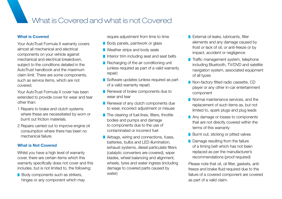### What is Covered and what is not Covered

#### **What is Covered**

Your AutoTrust Formula X warranty covers almost all mechanical and electrical components on your vehicle against mechanical and electrical breakdown, subject to the conditions detailed in the AutoTrust handbook and the maximum claim limit. There are some components, such as service items, which are not covered.

Your AutoTrust Formula X cover has been extended to provide cover for wear and tear other than:

- 1 Repairs to brake and clutch systems where these are necessitated by worn or burnt out friction materials.
- 2 Repairs carried out to improve engine oil consumption where there has been no mechanical failure.

#### **What is Not Covered**

Whilst you have a high level of warranty cover, there are certain items which this warranty specifically does not cover and this includes, but is not limited to, the following:

Body components such as strikers, hinges or any component which may require adjustment from time to time

- Body panels, paintwork or glass
- **N** Weather strips and body seals
- Interior trim including seat and seat belts
- Recharging of the air conditioning unit (unless required as part of a valid warranty repair)
- Software updates (unless required as part of a valid warranty repair)
- Renewal of brake components due to wear and tear
- Renewal of any clutch components due to wear, incorrect adjustment or misuse
- The clearing of fuel lines, filters, throttle bodies and pumps and damage to components due to the use of contaminated or incorrect fuel
- Airbags, wiring and connections, fuses, batteries, bulbs and LED illumination, exhaust systems, diesel particulate filters (catalytic converters are covered), wiper blades, wheel balancing and alignment, wheels, tyres and water ingress (including damage to covered parts caused by water)
- **External oil leaks, lubricants, filter** elements and any damage caused by frost or lack of oil, or anti-freeze or by impact, accident or negligence
- **T** Traffic management system, telephone including Bluetooth, TV/DVD and satellite navigation system, associated equipment of all types
- Non-factory fitted radio cassette, CD player or any other in-car entertainment component
- Normal maintenance services, and the replacement of such items as, but not limited to, spark plugs and plug leads
- Any damage or losses to components that are not directly covered within the terms of this warranty
- **Burnt out, sticking or pitted valves**
- Damage resulting from the failure of a timing belt which has not been replaced as per the manufacturer's recommendations (proof required)

Please note that oil, oil filter, gaskets, antifreeze and brake fluid required due to the failure of a covered component are covered as part of a valid claim.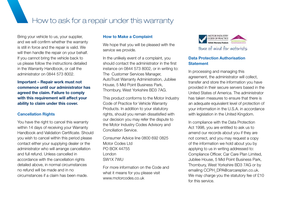How to ask for a repair under this warranty

Bring your vehicle to us, your supplier, and we will confirm whether the warranty is still in force and the repair is valid. We will then handle the repair on your behalf. If you cannot bring the vehicle back to us please follow the instructions detailed in the Warranty Handbook, or call the administrator on 0844 573 8002.

**Important – Repair work must not commence until our administrator has agreed the claim. Failure to comply with this requirement will affect your ability to claim under this cover.**

#### **Cancellation Rights**

You have the right to cancel this warranty within 14 days of receiving your Warranty Handbook and Validation Certificate. Should you wish to cancel within this period please contact either your supplying dealer or the administrator who will arrange cancellation and full refund. Unless cancelled in accordance with the cancellation rights detailed above, in normal circumstances no refund will be made and in no circumstances if a claim has been made.

#### **How to Make a Complaint**

We hope that you will be pleased with the service we provide.

In the unlikely event of a complaint, you should contact the administrator in the first instance on 0844 573 8002, or in writing to: The Customer Services Manager, AutoTrust Warranty Administration, Jubilee House, 5 Mid Point Business Park, Thornbury, West Yorkshire BD3 7AG.

This product conforms to the Motor Industry Code of Practice for Vehicle Warranty Products. In addition to your statutory rights, should you remain dissatisfied with our decision you may refer the dispute to the Motor Industry Codes Advisory and Conciliation Service.

Consumer Advice line 0800 692 0825 Motor Codes Ltd PO BOX 44755 London SW1X 7WU

For more information on the Code and what it means for you please visit www.motorcodes.co.uk



#### **Data Protection Authorisation Statement**

In processing and managing this agreement, the administrator will collect, transfer and store the information you have provided in their secure servers based in the United States of America. The administrator has taken measures to ensure that there is an adequate equivalent level of protection of your information in the U.S.A. in accordance with legislation in the United Kingdom.

In compliance with the Data Protection Act 1998, you are entitled to ask us to amend our records about you if they are not correct, and you may request a copy of the information we hold about you by applying to us in writing addressed to: Compliance Officer, Car Care Plan Limited, Jubilee House, 5 Mid Point Business Park, Thornbury, West Yorkshire BD3 7AG or by emailing CCPH\_DPA@carcareplan.co.uk. We may charge you the statutory fee of £10 for this service.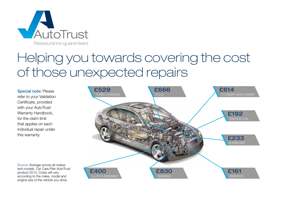

# Helping you towards covering the cost of those unexpected repairs

Special note: Please refer to your Validation Certificate, provided with your AutoTrust Warranty Handbook, for the claim limit that applies on each individual repair under this warranty.



Source: Average across all makes and models. Car Care Plan AutoTrust product 2013. Costs will vary according to the make, model and engine size of the vehicle you drive.